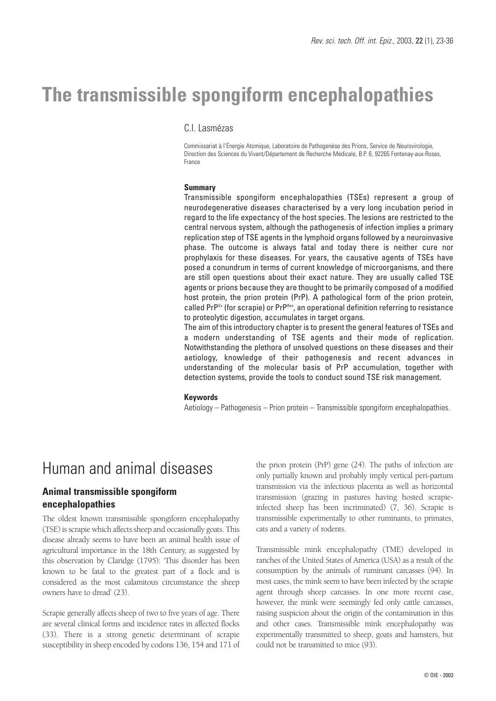# **The transmissible spongiform encephalopathies**

## C.I. Lasmézas

Commissariat à l'Énergie Atomique, Laboratoire de Pathogenèse des Prions, Service de Neurovirologie, Direction des Sciences du Vivant/Département de Recherche Médicale, B.P. 6, 92265 Fontenay-aux-Roses, France

#### **Summary**

Transmissible spongiform encephalopathies (TSEs) represent a group of neurodegenerative diseases characterised by a very long incubation period in regard to the life expectancy of the host species. The lesions are restricted to the central nervous system, although the pathogenesis of infection implies a primary replication step of TSE agents in the lymphoid organs followed by a neuroinvasive phase. The outcome is always fatal and today there is neither cure nor prophylaxis for these diseases. For years, the causative agents of TSEs have posed a conundrum in terms of current knowledge of microorganisms, and there are still open questions about their exact nature. They are usually called TSE agents or prions because they are thought to be primarily composed of a modified host protein, the prion protein (PrP). A pathological form of the prion protein, called PrP<sup>Sc</sup> (for scrapie) or PrP<sup>Res</sup>, an operational definition referring to resistance to proteolytic digestion, accumulates in target organs.

The aim of this introductory chapter is to present the general features of TSEs and a modern understanding of TSE agents and their mode of replication. Notwithstanding the plethora of unsolved questions on these diseases and their aetiology, knowledge of their pathogenesis and recent advances in understanding of the molecular basis of PrP accumulation, together with detection systems, provide the tools to conduct sound TSE risk management.

#### **Keywords**

Aetiology – Pathogenesis – Prion protein – Transmissible spongiform encephalopathies.

## Human and animal diseases

## **Animal transmissible spongiform encephalopathies**

The oldest known transmissible spongiform encephalopathy (TSE) is scrapie which affects sheep and occasionally goats. This disease already seems to have been an animal health issue of agricultural importance in the 18th Century, as suggested by this observation by Claridge (1795): 'This disorder has been known to be fatal to the greatest part of a flock and is considered as the most calamitous circumstance the sheep owners have to dread' (23).

Scrapie generally affects sheep of two to five years of age. There are several clinical forms and incidence rates in affected flocks (33). There is a strong genetic determinant of scrapie susceptibility in sheep encoded by codons 136, 154 and 171 of the prion protein (PrP) gene (24). The paths of infection are only partially known and probably imply vertical peri-partum transmission via the infectious placenta as well as horizontal transmission (grazing in pastures having hosted scrapieinfected sheep has been incriminated) (7, 36). Scrapie is transmissible experimentally to other ruminants, to primates, cats and a variety of rodents.

Transmissible mink encephalopathy (TME) developed in ranches of the United States of America (USA) as a result of the consumption by the animals of ruminant carcasses (94). In most cases, the mink seem to have been infected by the scrapie agent through sheep carcasses. In one more recent case, however, the mink were seemingly fed only cattle carcasses, raising suspicion about the origin of the contamination in this and other cases. Transmissible mink encephalopathy was experimentally transmitted to sheep, goats and hamsters, but could not be transmitted to mice (93).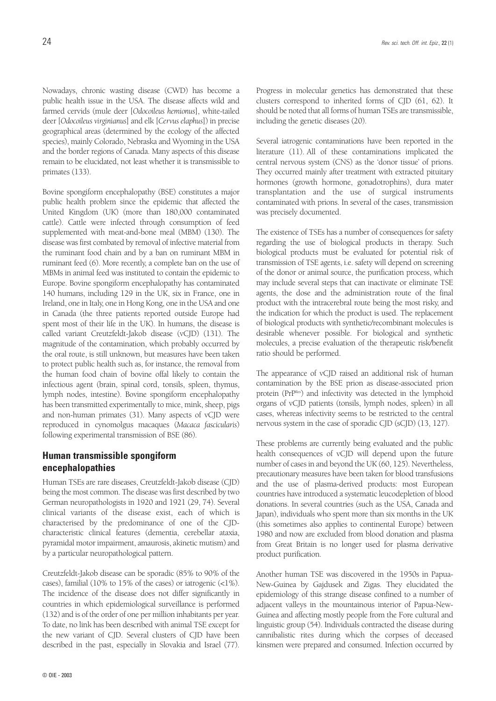Nowadays, chronic wasting disease (CWD) has become a public health issue in the USA. The disease affects wild and farmed cervids (mule deer [*Odocoileus hemionus*], white-tailed deer [*Odocoileus virginianus*] and elk [*Cervus elaphus*]) in precise geographical areas (determined by the ecology of the affected species), mainly Colorado, Nebraska and Wyoming in the USA and the border regions of Canada. Many aspects of this disease remain to be elucidated, not least whether it is transmissible to primates (133).

Bovine spongiform encephalopathy (BSE) constitutes a major public health problem since the epidemic that affected the United Kingdom (UK) (more than 180,000 contaminated cattle). Cattle were infected through consumption of feed supplemented with meat-and-bone meal (MBM) (130). The disease was first combated by removal of infective material from the ruminant food chain and by a ban on ruminant MBM in ruminant feed (6). More recently, a complete ban on the use of MBMs in animal feed was instituted to contain the epidemic to Europe. Bovine spongiform encephalopathy has contaminated 140 humans, including 129 in the UK, six in France, one in Ireland, one in Italy, one in Hong Kong, one in the USA and one in Canada (the three patients reported outside Europe had spent most of their life in the UK). In humans, the disease is called variant Creutzfeldt-Jakob disease (vCJD) (131). The magnitude of the contamination, which probably occurred by the oral route, is still unknown, but measures have been taken to protect public health such as, for instance, the removal from the human food chain of bovine offal likely to contain the infectious agent (brain, spinal cord, tonsils, spleen, thymus, lymph nodes, intestine). Bovine spongiform encephalopathy has been transmitted experimentally to mice, mink, sheep, pigs and non-human primates (31). Many aspects of vCJD were reproduced in cynomolgus macaques (*Macaca fascicularis*) following experimental transmission of BSE (86).

## **Human transmissible spongiform encephalopathies**

Human TSEs are rare diseases, Creutzfeldt-Jakob disease (CJD) being the most common. The disease was first described by two German neuropathologists in 1920 and 1921 (29, 74). Several clinical variants of the disease exist, each of which is characterised by the predominance of one of the CJDcharacteristic clinical features (dementia, cerebellar ataxia, pyramidal motor impairment, amaurosis, akinetic mutism) and by a particular neuropathological pattern.

Creutzfeldt-Jakob disease can be sporadic (85% to 90% of the cases), familial (10% to 15% of the cases) or iatrogenic (<1%). The incidence of the disease does not differ significantly in countries in which epidemiological surveillance is performed (132) and is of the order of one per million inhabitants per year. To date, no link has been described with animal TSE except for the new variant of CJD. Several clusters of CJD have been described in the past, especially in Slovakia and Israel (77). Progress in molecular genetics has demonstrated that these clusters correspond to inherited forms of CJD (61, 62). It should be noted that all forms of human TSEs are transmissible, including the genetic diseases (20).

Several iatrogenic contaminations have been reported in the literature (11). All of these contaminations implicated the central nervous system (CNS) as the 'donor tissue' of prions. They occurred mainly after treatment with extracted pituitary hormones (growth hormone, gonadotrophins), dura mater transplantation and the use of surgical instruments contaminated with prions. In several of the cases, transmission was precisely documented.

The existence of TSEs has a number of consequences for safety regarding the use of biological products in therapy. Such biological products must be evaluated for potential risk of transmission of TSE agents, i.e. safety will depend on screening of the donor or animal source, the purification process, which may include several steps that can inactivate or eliminate TSE agents, the dose and the administration route of the final product with the intracerebral route being the most risky, and the indication for which the product is used. The replacement of biological products with synthetic/recombinant molecules is desirable whenever possible. For biological and synthetic molecules, a precise evaluation of the therapeutic risk/benefit ratio should be performed.

The appearance of vCJD raised an additional risk of human contamination by the BSE prion as disease-associated prion protein (PrPRes) and infectivity was detected in the lymphoid organs of vCJD patients (tonsils, lymph nodes, spleen) in all cases, whereas infectivity seems to be restricted to the central nervous system in the case of sporadic CJD (sCJD) (13, 127).

These problems are currently being evaluated and the public health consequences of vCJD will depend upon the future number of cases in and beyond the UK (60, 125). Nevertheless, precautionary measures have been taken for blood transfusions and the use of plasma-derived products: most European countries have introduced a systematic leucodepletion of blood donations. In several countries (such as the USA, Canada and Japan), individuals who spent more than six months in the UK (this sometimes also applies to continental Europe) between 1980 and now are excluded from blood donation and plasma from Great Britain is no longer used for plasma derivative product purification.

Another human TSE was discovered in the 1950s in Papua-New-Guinea by Gajdusek and Zigas. They elucidated the epidemiology of this strange disease confined to a number of adjacent valleys in the mountainous interior of Papua-New-Guinea and affecting mostly people from the Fore cultural and linguistic group (54). Individuals contracted the disease during cannibalistic rites during which the corpses of deceased kinsmen were prepared and consumed. Infection occurred by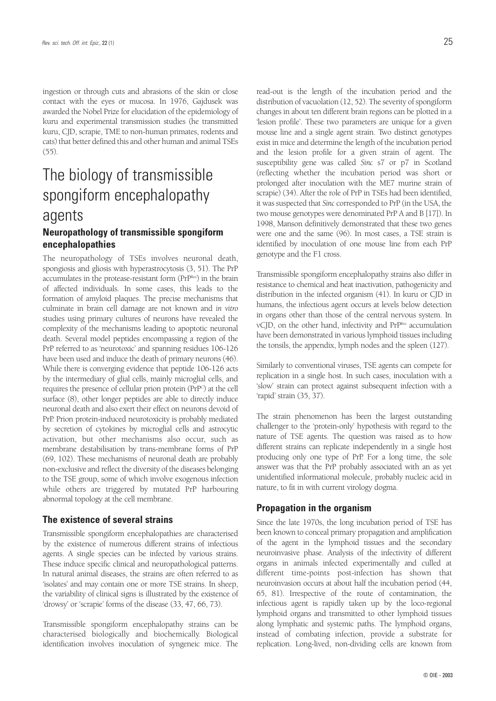ingestion or through cuts and abrasions of the skin or close contact with the eyes or mucosa. In 1976, Gajdusek was awarded the Nobel Prize for elucidation of the epidemiology of kuru and experimental transmission studies (he transmitted kuru, CJD, scrapie, TME to non-human primates, rodents and cats) that better defined this and other human and animal TSEs (55).

# The biology of transmissible spongiform encephalopathy agents

## **Neuropathology of transmissible spongiform encephalopathies**

The neuropathology of TSEs involves neuronal death, spongiosis and gliosis with hyperastrocytosis (3, 51). The PrP accumulates in the protease-resistant form (PrPRes) in the brain of affected individuals. In some cases, this leads to the formation of amyloid plaques. The precise mechanisms that culminate in brain cell damage are not known and *in vitro* studies using primary cultures of neurons have revealed the complexity of the mechanisms leading to apoptotic neuronal death. Several model peptides encompassing a region of the PrP referred to as 'neurotoxic' and spanning residues 106-126 have been used and induce the death of primary neurons (46). While there is converging evidence that peptide 106-126 acts by the intermediary of glial cells, mainly microglial cells, and requires the presence of cellular prion protein (PrPC ) at the cell surface (8), other longer peptides are able to directly induce neuronal death and also exert their effect on neurons devoid of PrP. Prion protein-induced neurotoxicity is probably mediated by secretion of cytokines by microglial cells and astrocytic activation, but other mechanisms also occur, such as membrane destabilisation by trans-membrane forms of PrP (69, 102). These mechanisms of neuronal death are probably non-exclusive and reflect the diversity of the diseases belonging to the TSE group, some of which involve exogenous infection while others are triggered by mutated PrP harbouring abnormal topology at the cell membrane.

### **The existence of several strains**

Transmissible spongiform encephalopathies are characterised by the existence of numerous different strains of infectious agents. A single species can be infected by various strains. These induce specific clinical and neuropathological patterns. In natural animal diseases, the strains are often referred to as 'isolates' and may contain one or more TSE strains. In sheep, the variability of clinical signs is illustrated by the existence of 'drowsy' or 'scrapie' forms of the disease (33, 47, 66, 73).

Transmissible spongiform encephalopathy strains can be characterised biologically and biochemically. Biological identification involves inoculation of syngeneic mice. The read-out is the length of the incubation period and the distribution of vacuolation (12, 52). The severity of spongiform changes in about ten different brain regions can be plotted in a 'lesion profile'. These two parameters are unique for a given mouse line and a single agent strain. Two distinct genotypes exist in mice and determine the length of the incubation period and the lesion profile for a given strain of agent. The susceptibility gene was called *Sinc* s7 or p7 in Scotland (reflecting whether the incubation period was short or prolonged after inoculation with the ME7 murine strain of scrapie) (34). After the role of PrP in TSEs had been identified, it was suspected that *Sinc* corresponded to PrP (in the USA, the two mouse genotypes were denominated PrP A and B [17]). In 1998, Manson definitively demonstrated that these two genes were one and the same (96). In most cases, a TSE strain is identified by inoculation of one mouse line from each PrP genotype and the F1 cross.

Transmissible spongiform encephalopathy strains also differ in resistance to chemical and heat inactivation, pathogenicity and distribution in the infected organism (41). In kuru or CJD in humans, the infectious agent occurs at levels below detection in organs other than those of the central nervous system. In vCJD, on the other hand, infectivity and PrPRes accumulation have been demonstrated in various lymphoid tissues including the tonsils, the appendix, lymph nodes and the spleen (127).

Similarly to conventional viruses, TSE agents can compete for replication in a single host. In such cases, inoculation with a 'slow' strain can protect against subsequent infection with a 'rapid' strain (35, 37).

The strain phenomenon has been the largest outstanding challenger to the 'protein-only' hypothesis with regard to the nature of TSE agents. The question was raised as to how different strains can replicate independently in a single host producing only one type of PrP. For a long time, the sole answer was that the PrP probably associated with an as yet unidentified informational molecule, probably nucleic acid in nature, to fit in with current virology dogma.

### **Propagation in the organism**

Since the late 1970s, the long incubation period of TSE has been known to conceal primary propagation and amplification of the agent in the lymphoid tissues and the secondary neuroinvasive phase. Analysis of the infectivity of different organs in animals infected experimentally and culled at different time-points post-infection has shown that neuroinvasion occurs at about half the incubation period (44, 65, 81). Irrespective of the route of contamination, the infectious agent is rapidly taken up by the loco-regional lymphoid organs and transmitted to other lymphoid tissues along lymphatic and systemic paths. The lymphoid organs, instead of combating infection, provide a substrate for replication. Long-lived, non-dividing cells are known from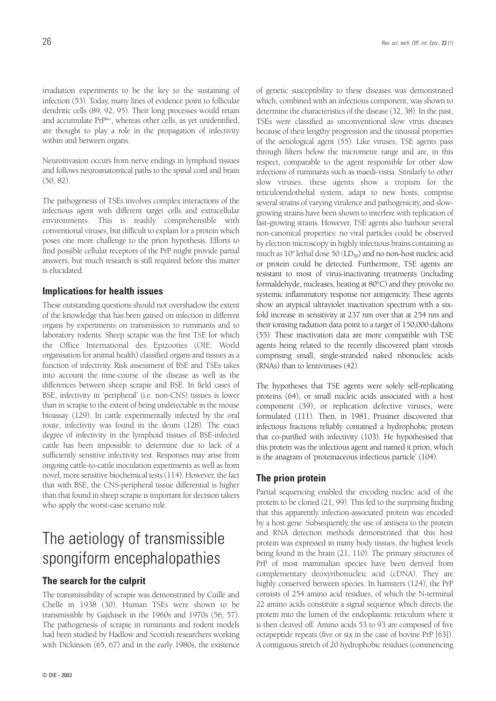Neuroinvasion occurs from nerve endings in lymphoid tissues and follows neuroanatomical paths to the spinal cord and brain (50, 82).

The pathogenesis of TSEs involves complex interactions of the infectious agent with different target cells and extracellular environments. This is readily comprehensible with conventional viruses, but difficult to explain for a protein which poses one more challenge to the prion hypothesis. Efforts to find possible cellular receptors of the PrP might provide partial answers, but much research is still required before this matter is elucidated.

### **Implications for health issues**

These outstanding questions should not overshadow the extent of the knowledge that has been gained on infection in different organs by experiments on transmission to ruminants and to laboratory rodents. Sheep scrapie was the first TSE for which the Office International des Epizooties (OIE: World organisation for animal health) classified organs and tissues as a function of infectivity. Risk assessment of BSE and TSEs takes into account the time-course of the disease as well as the differences between sheep scrapie and BSE. In field cases of BSE, infectivity in 'peripheral' (i.e. non-CNS) tissues is lower than in scrapie to the extent of being undetectable in the mouse bioassay (129). In cattle experimentally infected by the oral route, infectivity was found in the ileum (128). The exact degree of infectivity in the lymphoid tissues of BSE-infected cattle has been impossible to determine due to lack of a sufficiently sensitive infectivity test. Responses may arise from ongoing cattle-to-cattle inoculation experiments as well as from novel, more sensitive biochemical tests (114). However, the fact that with BSE, the CNS-peripheral tissue differential is higher than that found in sheep scrapie is important for decision takers who apply the worst-case scenario rule.

# The aetiology of transmissible spongiform encephalopathies

### **The search for the culprit**

The transmissibility of scrapie was demonstrated by Cuillé and Chelle in 1938 (30). Human TSEs were shown to be transmissible by Gajdusek in the 1960s and 1970s (56, 57). The pathogenesis of scrapie in ruminants and rodent models had been studied by Hadlow and Scottish researchers working with Dickinson (65, 67) and in the early 1980s, the existence

of genetic susceptibility to these diseases was demonstrated which, combined with an infectious component, was shown to determine the characteristics of the disease (32, 38). In the past, TSEs were classified as unconventional slow virus diseases because of their lengthy progression and the unusual properties of the aetiological agent (55). Like viruses, TSE agents pass through filters below the micrometre range and are, in this respect, comparable to the agent responsible for other slow infections of ruminants such as maedi-visna. Similarly to other slow viruses, these agents show a tropism for the reticuloendothelial system, adapt to new hosts, comprise several strains of varying virulence and pathogenicity, and slowgrowing strains have been shown to interfere with replication of fast-growing strains. However, TSE agents also harbour several non-canonical properties: no viral particles could be observed by electron microscopy in highly infectious brains containing as much as  $10^8$  lethal dose 50 (LD<sub>50</sub>) and no non-host nucleic acid or protein could be detected. Furthermore, TSE agents are resistant to most of virus-inactivating treatments (including formaldehyde, nucleases, heating at 80°C) and they provoke no systemic inflammatory response nor antigenicity. These agents show an atypical ultraviolet inactivation spectrum with a sixfold increase in sensitivity at 237 nm over that at 254 nm and their ionising radiation data point to a target of 150,000 daltons (55). These inactivation data are more compatible with TSE agents being related to the recently discovered plant viroids comprising small, single-stranded naked ribonucleic acids (RNAs) than to lentiviruses (42).

The hypotheses that TSE agents were solely self-replicating proteins (64), or small nucleic acids associated with a host component (39), or replication defective viruses, were formulated (111). Then, in 1981, Prusiner discovered that infectious fractions reliably contained a hydrophobic protein that co-purified with infectivity (103). He hypothesised that this protein was the infectious agent and named it prion, which is the anagram of 'proteinaceous infectious particle' (104).

#### **The prion protein**

Partial sequencing enabled the encoding nucleic acid of the protein to be cloned (21, 99). This led to the surprising finding that this apparently infection-associated protein was encoded by a host gene. Subsequently, the use of antisera to the protein and RNA detection methods demonstrated that this host protein was expressed in many body tissues, the highest levels being found in the brain (21, 110). The primary structures of PrP of most mammalian species have been derived from complementary deoxyribonucleic acid (cDNA). They are highly conserved between species. In hamsters (124), the PrP consists of 254 amino acid residues, of which the N-terminal 22 amino acids constitute a signal sequence which directs the protein into the lumen of the endoplasmic reticulum where it is then cleaved off. Amino acids 53 to 93 are composed of five octapeptide repeats (five or six in the case of bovine PrP [63]). A contiguous stretch of 20 hydrophobic residues (commencing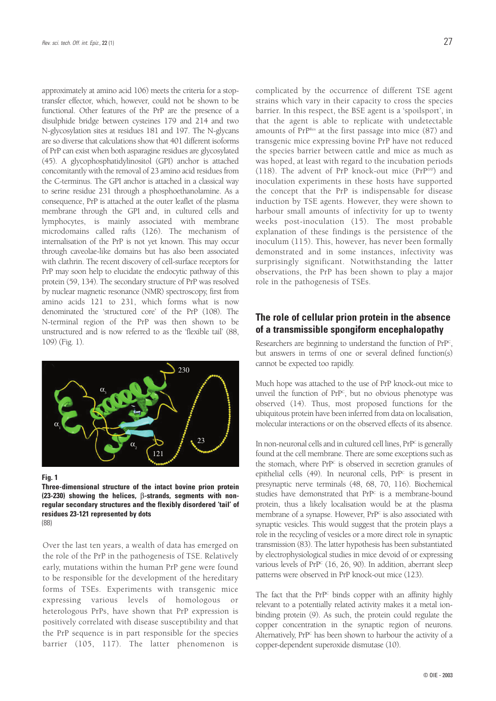approximately at amino acid 106) meets the criteria for a stoptransfer effector, which, however, could not be shown to be functional. Other features of the PrP are the presence of a disulphide bridge between cysteines 179 and 214 and two N-glycosylation sites at residues 181 and 197. The N-glycans are so diverse that calculations show that 401 different isoforms of PrP can exist when both asparagine residues are glycosylated (45). A glycophosphatidylinositol (GPI) anchor is attached concomitantly with the removal of 23 amino acid residues from the C-terminus. The GPI anchor is attached in a classical way to serine residue 231 through a phosphoethanolamine. As a consequence, PrP is attached at the outer leaflet of the plasma membrane through the GPI and, in cultured cells and lymphocytes, is mainly associated with membrane microdomains called rafts (126). The mechanism of internalisation of the PrP is not yet known. This may occur through caveolae-like domains but has also been associated with clathrin. The recent discovery of cell-surface receptors for PrP may soon help to elucidate the endocytic pathway of this protein (59, 134). The secondary structure of PrP was resolved by nuclear magnetic resonance (NMR) spectroscopy, first from amino acids 121 to 231, which forms what is now denominated the 'structured core' of the PrP (108). The N-terminal region of the PrP was then shown to be unstructured and is now referred to as the 'flexible tail' (88, 109) (Fig. 1).



**Fig. 1**

**Three-dimensional structure of the intact bovine prion protein (23-230) showing the helices,** β**-strands, segments with nonregular secondary structures and the flexibly disordered 'tail' of residues 23-121 represented by dots** (88)

Over the last ten years, a wealth of data has emerged on the role of the PrP in the pathogenesis of TSE. Relatively early, mutations within the human PrP gene were found to be responsible for the development of the hereditary forms of TSEs. Experiments with transgenic mice expressing various levels of homologous or heterologous PrPs, have shown that PrP expression is positively correlated with disease susceptibility and that the PrP sequence is in part responsible for the species barrier (105, 117). The latter phenomenon is complicated by the occurrence of different TSE agent strains which vary in their capacity to cross the species barrier. In this respect, the BSE agent is a 'spoilsport', in that the agent is able to replicate with undetectable amounts of PrPRes at the first passage into mice (87) and transgenic mice expressing bovine PrP have not reduced the species barrier between cattle and mice as much as was hoped, at least with regard to the incubation periods (118). The advent of PrP knock-out mice ( $PrP^{0/0}$ ) and inoculation experiments in these hosts have supported the concept that the PrP is indispensable for disease induction by TSE agents. However, they were shown to harbour small amounts of infectivity for up to twenty weeks post-inoculation (15). The most probable explanation of these findings is the persistence of the inoculum (115). This, however, has never been formally demonstrated and in some instances, infectivity was surprisingly significant. Notwithstanding the latter observations, the PrP has been shown to play a major role in the pathogenesis of TSEs.

## **The role of cellular prion protein in the absence of a transmissible spongiform encephalopathy**

Researchers are beginning to understand the function of PrP<sup>c</sup>, but answers in terms of one or several defined function(s) cannot be expected too rapidly.

Much hope was attached to the use of PrP knock-out mice to unveil the function of PrP<sup>c</sup>, but no obvious phenotype was observed (14). Thus, most proposed functions for the ubiquitous protein have been inferred from data on localisation, molecular interactions or on the observed effects of its absence.

In non-neuronal cells and in cultured cell lines, PrP<sup>c</sup> is generally found at the cell membrane. There are some exceptions such as the stomach, where PrP<sup>c</sup> is observed in secretion granules of epithelial cells  $(49)$ . In neuronal cells,  $Pr^{pc}$  is present in presynaptic nerve terminals (48, 68, 70, 116). Biochemical studies have demonstrated that PrP<sup>c</sup> is a membrane-bound protein, thus a likely localisation would be at the plasma membrane of a synapse. However, PrP<sup>c</sup> is also associated with synaptic vesicles. This would suggest that the protein plays a role in the recycling of vesicles or a more direct role in synaptic transmission (83). The latter hypothesis has been substantiated by electrophysiological studies in mice devoid of or expressing various levels of PrP<sup>c</sup> (16, 26, 90). In addition, aberrant sleep patterns were observed in PrP knock-out mice (123).

The fact that the PrP<sup>c</sup> binds copper with an affinity highly relevant to a potentially related activity makes it a metal ionbinding protein (9). As such, the protein could regulate the copper concentration in the synaptic region of neurons. Alternatively,  $Pr^{pc}$  has been shown to harbour the activity of a copper-dependent superoxide dismutase (10).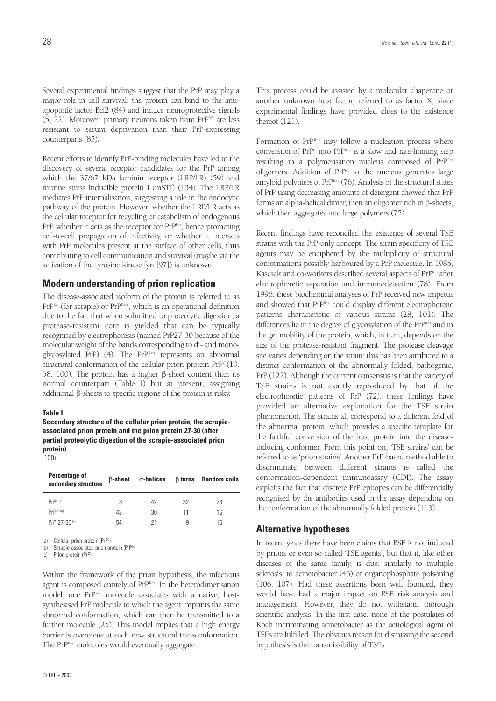Several experimental findings suggest that the PrP may play a major role in cell survival: the protein can bind to the antiapoptotic factor Bcl2 (84) and induce neuroprotective signals  $(5, 22)$ . Moreover, primary neurons taken from PrP<sup>o/0</sup> are less resistant to serum deprivation than their PrP-expressing counterparts (85).

Recent efforts to identify PrP-binding molecules have led to the discovery of several receptor candidates for the PrP among which the 37/67 kDa laminin receptor (LRP/LR) (59) and murine stress inducible protein I (mSTI) (134). The LRP/LR mediates PrP internalisation, suggesting a role in the endocytic pathway of the protein. However, whether the LRP/LR acts as the cellular receptor for recycling or catabolism of endogenous PrP, whether it acts as the receptor for PrPRes, hence promoting cell-to-cell propagation of infectivity, or whether it interacts with PrP molecules present at the surface of other cells, thus contributing to cell communication and survival (maybe via the activation of the tyrosine kinase fyn [97]) is unknown.

#### **Modern understanding of prion replication**

The disease-associated isoform of the protein is referred to as PrP<sup>Sc</sup> (for scrapie) or PrP<sup>Res</sup>, which is an operational definition due to the fact that when submitted to proteolytic digestion, a protease-resistant core is yielded that can be typically recognised by electrophoresis (named PrP27-30 because of the molecular weight of the bands corresponding to di- and monoglycosylated PrP) (4). The PrPRes represents an abnormal structural conformation of the cellular prion protein  $Pr^{pc}(19, 19)$ 58, 100). The protein has a higher ß-sheet content than its normal counterpart (Table I) but at present, assigning additional ß-sheets to specific regions of the protein is risky.

#### **Table I**

**Secondary structure of the cellular prion protein, the scrapieassociated prion protein and the prion protein 27-30 (after partial proteolytic digestion of the scrapie-associated prion protein)** (100)

| Percentage of<br>secondary structure | $\beta$ -sheet | $\alpha$ -helices |    | $\beta$ turns Random coils |
|--------------------------------------|----------------|-------------------|----|----------------------------|
| Pr <sub>PC</sub> (a)                 | 3              | 42                | 32 | 23                         |
| Prpsc (b)                            | 43             | 30                | 11 | 16                         |
| PrP 27-30(c)                         | 54             | 21                | 9  | 16                         |
|                                      |                |                   |    |                            |

(a) Cellular prion protein (PrP<sup>c</sup>)

(b) Scrapie-associated prion protein (PrP<sup>Sc</sup>)

(c) Prion protein (PrP)

Within the framework of the prion hypothesis, the infectious agent is composed entirely of PrPRes. In the heterodimerisation model, one PrPRes molecule associates with a native, hostsynthesised PrP molecule to which the agent imprints the same abnormal conformation, which can then be transmitted to a further molecule (25). This model implies that a high energy barrier is overcome at each new structural transconformation. The PrPRes molecules would eventually aggregate.

This process could be assisted by a molecular chaperone or another unknown host factor, referred to as factor X, since experimental findings have provided clues to the existence thereof (121).

Formation of PrPRes may follow a nucleation process where conversion of  $PrP^c$  into  $PrP^{\text{Res}}$  is a slow and rate-limiting step resulting in a polymerisation nucleus composed of PrPRes oligomers. Addition of  $PrP^c$  to the nucleus generates large amyloid polymers of PrPRes (76). Analysis of the structural states of PrP using decreasing amounts of detergent showed that PrP forms an alpha-helical dimer, then an oligomer rich in ß-sheets, which then aggregates into large polymers (75).

Recent findings have reconciled the existence of several TSE strains with the PrP-only concept. The strain specificity of TSE agents may be enciphered by the multiplicity of structural conformations possibly harboured by a PrP molecule. In 1985, Kascsak and co-workers described several aspects of PrPRes after electrophoretic separation and immunodetection (78). From 1996, these biochemical analyses of PrP received new impetus and showed that PrPRes could display different electrophoretic patterns characteristic of various strains (28, 101). The differences lie in the degree of glycosylation of the PrPRes and in the gel mobility of the protein, which, in turn, depends on the size of the protease-resistant fragment. The protease cleavage site varies depending on the strain; this has been attributed to a distinct conformation of the abnormally folded, pathogenic, PrP (122). Although the current consensus is that the variety of TSE strains is not exactly reproduced by that of the electrophoretic patterns of PrP (72), these findings have provided an alternative explanation for the TSE strain phenomenon. The strains all correspond to a different fold of the abnormal protein, which provides a specific template for the faithful conversion of the host protein into the diseaseinducing conformer. From this point on, 'TSE strains' can be referred to as 'prion strains'. Another PrP-based method able to discriminate between different strains is called the conformation-dependent immunoassay (CDI). The assay exploits the fact that discrete PrP epitopes can be differentially recognised by the antibodies used in the assay depending on the conformation of the abnormally folded protein (113).

#### **Alternative hypotheses**

In recent years there have been claims that BSE is not induced by prions or even so-called 'TSE agents', but that it, like other diseases of the same family, is due, similarly to multiple sclerosis, to acinetobacter (43) or organophosphate poisoning (106, 107). Had these assertions been well founded, they would have had a major impact on BSE risk analysis and management. However, they do not withstand thorough scientific analysis. In the first case, none of the postulates of Koch incriminating acinetobacter as the aetiological agent of TSEs are fulfilled. The obvious reason for dismissing the second hypothesis is the transmissibility of TSEs.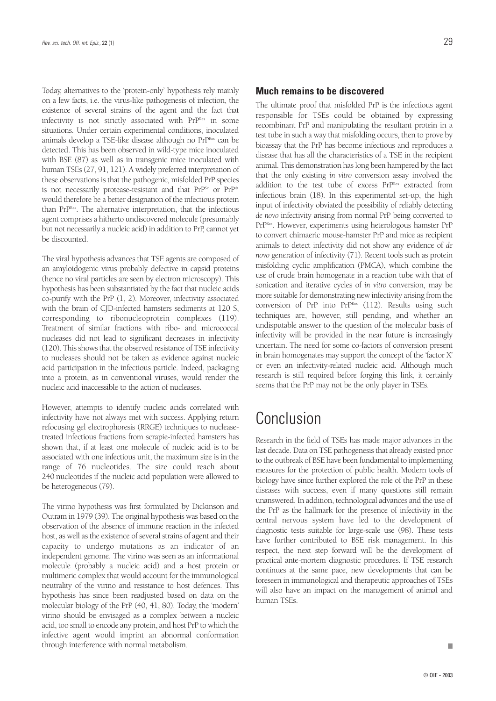Today, alternatives to the 'protein-only' hypothesis rely mainly on a few facts, i.e. the virus-like pathogenesis of infection, the existence of several strains of the agent and the fact that infectivity is not strictly associated with PrPRes in some situations. Under certain experimental conditions, inoculated animals develop a TSE-like disease although no PrPRes can be detected. This has been observed in wild-type mice inoculated with BSE (87) as well as in transgenic mice inoculated with human TSEs (27, 91, 121). A widely preferred interpretation of these observations is that the pathogenic, misfolded PrP species is not necessarily protease-resistant and that  $Pr^{Sc}$  or  $Pr^{P*}$ would therefore be a better designation of the infectious protein than PrPRes. The alternative interpretation, that the infectious agent comprises a hitherto undiscovered molecule (presumably but not necessarily a nucleic acid) in addition to PrP, cannot yet be discounted.

The viral hypothesis advances that TSE agents are composed of an amyloidogenic virus probably defective in capsid proteins (hence no viral particles are seen by electron microscopy). This hypothesis has been substantiated by the fact that nucleic acids co-purify with the PrP (1, 2). Moreover, infectivity associated with the brain of CJD-infected hamsters sediments at 120 S, corresponding to ribonucleoprotein complexes (119). Treatment of similar fractions with ribo- and micrococcal nucleases did not lead to significant decreases in infectivity (120). This shows that the observed resistance of TSE infectivity to nucleases should not be taken as evidence against nucleic acid participation in the infectious particle. Indeed, packaging into a protein, as in conventional viruses, would render the nucleic acid inaccessible to the action of nucleases.

However, attempts to identify nucleic acids correlated with infectivity have not always met with success. Applying return refocusing gel electrophoresis (RRGE) techniques to nucleasetreated infectious fractions from scrapie-infected hamsters has shown that, if at least one molecule of nucleic acid is to be associated with one infectious unit, the maximum size is in the range of 76 nucleotides. The size could reach about 240 nucleotides if the nucleic acid population were allowed to be heterogeneous (79).

The virino hypothesis was first formulated by Dickinson and Outram in 1979 (39). The original hypothesis was based on the observation of the absence of immune reaction in the infected host, as well as the existence of several strains of agent and their capacity to undergo mutations as an indicator of an independent genome. The virino was seen as an informational molecule (probably a nucleic acid) and a host protein or multimeric complex that would account for the immunological neutrality of the virino and resistance to host defences. This hypothesis has since been readjusted based on data on the molecular biology of the PrP (40, 41, 80). Today, the 'modern' virino should be envisaged as a complex between a nucleic acid, too small to encode any protein, and host PrP to which the infective agent would imprint an abnormal conformation through interference with normal metabolism.

#### **Much remains to be discovered**

The ultimate proof that misfolded PrP is the infectious agent responsible for TSEs could be obtained by expressing recombinant PrP and manipulating the resultant protein in a test tube in such a way that misfolding occurs, then to prove by bioassay that the PrP has become infectious and reproduces a disease that has all the characteristics of a TSE in the recipient animal. This demonstration has long been hampered by the fact that the only existing *in vitro* conversion assay involved the addition to the test tube of excess PrPRes extracted from infectious brain (18). In this experimental set-up, the high input of infectivity obviated the possibility of reliably detecting *de novo* infectivity arising from normal PrP being converted to PrPRes. However, experiments using heterologous hamster PrP to convert chimaeric mouse-hamster PrP and mice as recipient animals to detect infectivity did not show any evidence of *de novo* generation of infectivity (71). Recent tools such as protein misfolding cyclic amplification (PMCA), which combine the use of crude brain homogenate in a reaction tube with that of sonication and iterative cycles of *in vitro* conversion, may be more suitable for demonstrating new infectivity arising from the conversion of PrP into PrPRes (112). Results using such techniques are, however, still pending, and whether an undisputable answer to the question of the molecular basis of infectivity will be provided in the near future is increasingly uncertain. The need for some co-factors of conversion present in brain homogenates may support the concept of the 'factor X' or even an infectivity-related nucleic acid. Although much research is still required before forging this link, it certainly seems that the PrP may not be the only player in TSEs.

# Conclusion

Research in the field of TSEs has made major advances in the last decade. Data on TSE pathogenesis that already existed prior to the outbreak of BSE have been fundamental to implementing measures for the protection of public health. Modern tools of biology have since further explored the role of the PrP in these diseases with success, even if many questions still remain unanswered. In addition, technological advances and the use of the PrP as the hallmark for the presence of infectivity in the central nervous system have led to the development of diagnostic tests suitable for large-scale use (98). These tests have further contributed to BSE risk management. In this respect, the next step forward will be the development of practical ante-mortem diagnostic procedures. If TSE research continues at the same pace, new developments that can be foreseen in immunological and therapeutic approaches of TSEs will also have an impact on the management of animal and human TSEs.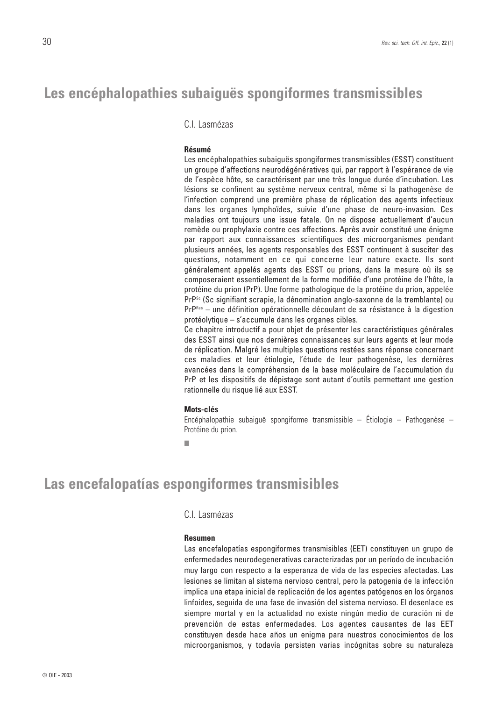## **Les encéphalopathies subaiguës spongiformes transmissibles**

C.I. Lasmézas

#### **Résumé**

Les encéphalopathies subaiguës spongiformes transmissibles (ESST) constituent un groupe d'affections neurodégénératives qui, par rapport à l'espérance de vie de l'espèce hôte, se caractérisent par une très longue durée d'incubation. Les lésions se confinent au système nerveux central, même si la pathogenèse de l'infection comprend une première phase de réplication des agents infectieux dans les organes lymphoïdes, suivie d'une phase de neuro-invasion. Ces maladies ont toujours une issue fatale. On ne dispose actuellement d'aucun remède ou prophylaxie contre ces affections. Après avoir constitué une énigme par rapport aux connaissances scientifiques des microorganismes pendant plusieurs années, les agents responsables des ESST continuent à susciter des questions, notamment en ce qui concerne leur nature exacte. Ils sont généralement appelés agents des ESST ou prions, dans la mesure où ils se composeraient essentiellement de la forme modifiée d'une protéine de l'hôte, la protéine du prion (PrP). Une forme pathologique de la protéine du prion, appelée PrP<sup>sc</sup> (Sc signifiant scrapie, la dénomination anglo-saxonne de la tremblante) ou PrP<sup>Res</sup> – une définition opérationnelle découlant de sa résistance à la digestion protéolytique – s'accumule dans les organes cibles.

Ce chapitre introductif a pour objet de présenter les caractéristiques générales des ESST ainsi que nos dernières connaissances sur leurs agents et leur mode de réplication. Malgré les multiples questions restées sans réponse concernant ces maladies et leur étiologie, l'étude de leur pathogenèse, les dernières avancées dans la compréhension de la base moléculaire de l'accumulation du PrP et les dispositifs de dépistage sont autant d'outils permettant une gestion rationnelle du risque lié aux ESST.

#### **Mots-clés**

Encéphalopathie subaiguë spongiforme transmissible – Étiologie – Pathogenèse – Protéine du prion.

■

# **Las encefalopatías espongiformes transmisibles**

C.I. Lasmézas

#### **Resumen**

Las encefalopatías espongiformes transmisibles (EET) constituyen un grupo de enfermedades neurodegenerativas caracterizadas por un período de incubación muy largo con respecto a la esperanza de vida de las especies afectadas. Las lesiones se limitan al sistema nervioso central, pero la patogenia de la infección implica una etapa inicial de replicación de los agentes patógenos en los órganos linfoides, seguida de una fase de invasión del sistema nervioso. El desenlace es siempre mortal y en la actualidad no existe ningún medio de curación ni de prevención de estas enfermedades. Los agentes causantes de las EET constituyen desde hace años un enigma para nuestros conocimientos de los microorganismos, y todavía persisten varias incógnitas sobre su naturaleza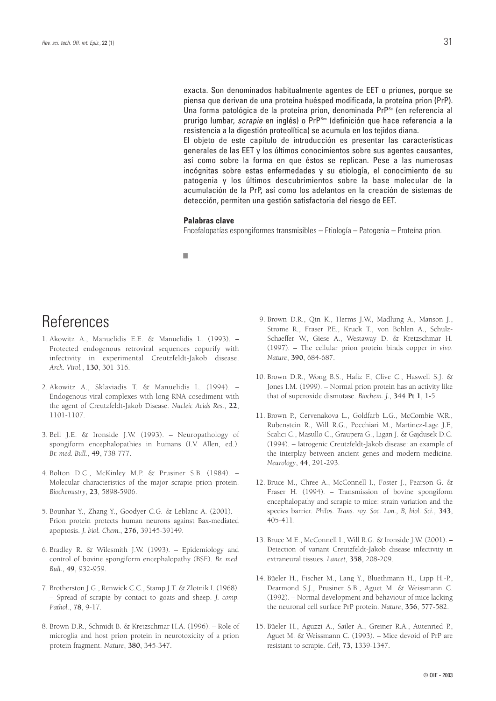exacta. Son denominados habitualmente agentes de EET o priones, porque se piensa que derivan de una proteína huésped modificada, la proteína prion (PrP). Una forma patológica de la proteína prion, denominada PrP<sup>Sc</sup> (en referencia al prurigo lumbar, *scrapie* en inglés) o PrP<sup>Res</sup> (definición que hace referencia a la resistencia a la digestión proteolítica) se acumula en los tejidos diana.

El objeto de este capítulo de introducción es presentar las características generales de las EET y los últimos conocimientos sobre sus agentes causantes, así como sobre la forma en que éstos se replican. Pese a las numerosas incógnitas sobre estas enfermedades y su etiología, el conocimiento de su patogenia y los últimos descubrimientos sobre la base molecular de la acumulación de la PrP, así como los adelantos en la creación de sistemas de detección, permiten una gestión satisfactoria del riesgo de EET.

#### **Palabras clave**

Encefalopatías espongiformes transmisibles – Etiología – Patogenia – Proteína prion.

■

# **References**

- 1. Akowitz A., Manuelidis E.E. & Manuelidis L. (1993). Protected endogenous retroviral sequences copurify with infectivity in experimental Creutzfeldt-Jakob disease. *Arch. Virol.*, **130**, 301-316.
- 2. Akowitz A., Sklaviadis T. & Manuelidis L. (1994). Endogenous viral complexes with long RNA cosediment with the agent of Creutzfeldt-Jakob Disease. *Nucleic Acids Res.*, **22**, 1101-1107.
- 3. Bell J.E. & Ironside J.W. (1993). Neuropathology of spongiform encephalopathies in humans (I.V. Allen, ed.). *Br. med. Bull.*, **49**, 738-777.
- 4. Bolton D.C., McKinley M.P. & Prusiner S.B. (1984). Molecular characteristics of the major scrapie prion protein. *Biochemistry*, **23**, 5898-5906.
- 5. Bounhar Y., Zhang Y., Goodyer C.G. & Leblanc A. (2001). Prion protein protects human neurons against Bax-mediated apoptosis. *J. biol. Chem.*, **276**, 39145-39149.
- 6. Bradley R. & Wilesmith J.W. (1993). Epidemiology and control of bovine spongiform encephalopathy (BSE). *Br. med. Bull.*, **49**, 932-959.
- 7. Brotherston J.G., Renwick C.C., Stamp J.T. & Zlotnik I. (1968). – Spread of scrapie by contact to goats and sheep. *J. comp. Pathol.*, **78**, 9-17.
- 8. Brown D.R., Schmidt B. & Kretzschmar H.A. (1996). Role of microglia and host prion protein in neurotoxicity of a prion protein fragment. *Nature*, **380**, 345-347.
- 9. Brown D.R., Qin K., Herms J.W., Madlung A., Manson J., Strome R., Fraser P.E., Kruck T., von Bohlen A., Schulz-Schaeffer W., Giese A., Westaway D. & Kretzschmar H. (1997). – The cellular prion protein binds copper *in vivo*. *Nature*, **390**, 684-687.
- 10. Brown D.R., Wong B.S., Hafiz F., Clive C., Haswell S.J. & Jones I.M. (1999). – Normal prion protein has an activity like that of superoxide dismutase. *Biochem. J.*, **344 Pt 1**, 1-5.
- 11. Brown P., Cervenakova L., Goldfarb L.G., McCombie W.R., Rubenstein R., Will R.G., Pocchiari M., Martinez-Lage J.F., Scalici C., Masullo C., Graupera G., Ligan J. & Gajdusek D.C. (1994). – Iatrogenic Creutzfeldt-Jakob disease: an example of the interplay between ancient genes and modern medicine. *Neurology*, **44**, 291-293.
- 12. Bruce M., Chree A., McConnell I., Foster J., Pearson G. & Fraser H. (1994). – Transmission of bovine spongiform encephalopathy and scrapie to mice: strain variation and the species barrier. *Philos. Trans. roy. Soc. Lon., B, biol. Sci.*, **343**, 405-411.
- 13. Bruce M.E., McConnell I., Will R.G. & Ironside J.W. (2001). Detection of variant Creutzfeldt-Jakob disease infectivity in extraneural tissues. *Lancet*, **358**, 208-209.
- 14. Büeler H., Fischer M., Lang Y., Bluethmann H., Lipp H.-P., Dearmond S.J., Prusiner S.B., Aguet M. & Weissmann C. (1992). – Normal development and behaviour of mice lacking the neuronal cell surface PrP protein. *Nature*, **356**, 577-582.
- 15. Büeler H., Aguzzi A., Sailer A., Greiner R.A., Autenried P., Aguet M. & Weissmann C. (1993). – Mice devoid of PrP are resistant to scrapie. *Cell*, **73**, 1339-1347.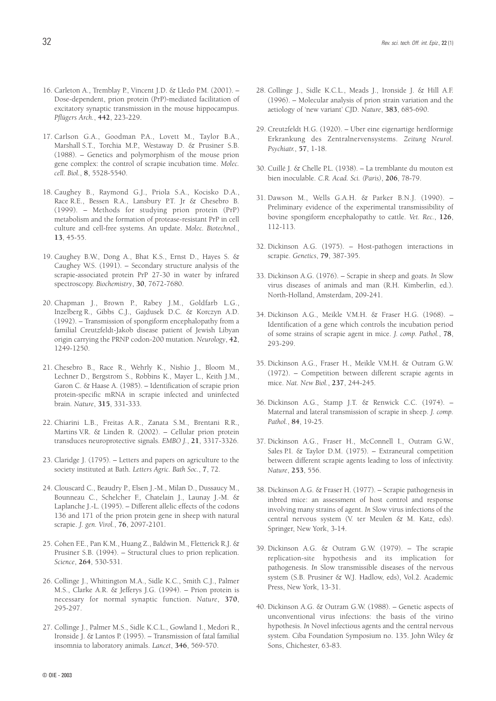- 16. Carleton A., Tremblay P., Vincent J.D. & Lledo P.M. (2001). Dose-dependent, prion protein (PrP)-mediated facilitation of excitatory synaptic transmission in the mouse hippocampus. *Pflügers Arch.*, **442**, 223-229.
- 17. Carlson G.A., Goodman P.A., Lovett M., Taylor B.A., Marshall S.T., Torchia M.P., Westaway D. & Prusiner S.B. (1988). – Genetics and polymorphism of the mouse prion gene complex: the control of scrapie incubation time. *Molec. cell. Biol.*, **8**, 5528-5540.
- 18. Caughey B., Raymond G.J., Priola S.A., Kocisko D.A., Race R.E., Bessen R.A., Lansbury P.T. Jr & Chesebro B. (1999). – Methods for studying prion protein (PrP) metabolism and the formation of protease-resistant PrP in cell culture and cell-free systems. An update. *Molec. Biotechnol.*, **13**, 45-55.
- 19. Caughey B.W., Dong A., Bhat K.S., Ernst D., Hayes S. & Caughey W.S. (1991). – Secondary structure analysis of the scrapie-associated protein PrP 27-30 in water by infrared spectroscopy. *Biochemistry*, **30**, 7672-7680.
- 20. Chapman J., Brown P., Rabey J.M., Goldfarb L.G., Inzelberg R., Gibbs C.J., Gajdusek D.C. & Korczyn A.D. (1992). – Transmission of spongiform encephalopathy from a familial Creutzfeldt-Jakob disease patient of Jewish Libyan origin carrying the PRNP codon-200 mutation. *Neurology*, **42**, 1249-1250.
- 21. Chesebro B., Race R., Wehrly K., Nishio J., Bloom M., Lechner D., Bergstrom S., Robbins K., Mayer L., Keith J.M., Garon C. & Haase A. (1985). – Identification of scrapie prion protein-specific mRNA in scrapie infected and uninfected brain. *Nature*, **315**, 331-333.
- 22. Chiarini L.B., Freitas A.R., Zanata S.M., Brentani R.R., Martins V.R. & Linden R. (2002). – Cellular prion protein transduces neuroprotective signals. *EMBO J.*, **21**, 3317-3326.
- 23. Claridge J. (1795). Letters and papers on agriculture to the society instituted at Bath. *Letters Agric. Bath Soc.*, **7**, 72.
- 24. Clouscard C., Beaudry P., Elsen J.-M., Milan D., Dussaucy M., Bounneau C., Schelcher F., Chatelain J., Launay J.-M. & Laplanche J.-L. (1995). – Different allelic effects of the codons 136 and 171 of the prion protein gene in sheep with natural scrapie. *J. gen. Virol.*, **76**, 2097-2101.
- 25. Cohen F.E., Pan K.M., Huang Z., Baldwin M., Fletterick R.J. & Prusiner S.B. (1994). – Structural clues to prion replication. *Science*, **264**, 530-531.
- 26. Collinge J., Whittington M.A., Sidle K.C., Smith C.J., Palmer M.S., Clarke A.R. & Jefferys J.G. (1994). – Prion protein is necessary for normal synaptic function. *Nature*, **370**, 295-297.
- 27. Collinge J., Palmer M.S., Sidle K.C.L., Gowland I., Medori R., Ironside J. & Lantos P. (1995). – Transmission of fatal familial insomnia to laboratory animals. *Lancet*, **346**, 569-570.
- 28. Collinge J., Sidle K.C.L., Meads J., Ironside J. & Hill A.F. (1996). – Molecular analysis of prion strain variation and the aetiology of 'new variant' CJD. *Nature*, **383**, 685-690.
- 29. Creutzfeldt H.G. (1920). Uber eine eigenartige herdformige Erkrankung des Zentralnervensystems. *Zeitung Neurol. Psychiatr.*, **57**, 1-18.
- 30. Cuillé J. & Chelle P.L. (1938). La tremblante du mouton est bien inoculable. *C.R. Acad. Sci. (Paris)*, **206**, 78-79.
- 31. Dawson M., Wells G.A.H. & Parker B.N.J. (1990). Preliminary evidence of the experimental transmissibility of bovine spongiform encephalopathy to cattle. *Vet. Rec.*, **126**, 112-113.
- 32. Dickinson A.G. (1975). Host-pathogen interactions in scrapie. *Genetics*, **79**, 387-395.
- 33. Dickinson A.G. (1976). Scrapie in sheep and goats. *In* Slow virus diseases of animals and man (R.H. Kimberlin, ed.). North-Holland, Amsterdam, 209-241.
- 34. Dickinson A.G., Meikle V.M.H. & Fraser H.G. (1968). Identification of a gene which controls the incubation period of some strains of scrapie agent in mice. *J. comp. Pathol.*, **78**, 293-299.
- 35. Dickinson A.G., Fraser H., Meikle V.M.H. & Outram G.W. (1972). – Competition between different scrapie agents in mice. *Nat. New Biol.*, **237**, 244-245.
- 36. Dickinson A.G., Stamp J.T. & Renwick C.C. (1974). Maternal and lateral transmission of scrapie in sheep. *J. comp. Pathol.*, **84**, 19-25.
- 37. Dickinson A.G., Fraser H., McConnell I., Outram G.W., Sales P.I. & Taylor D.M. (1975). – Extraneural competition between different scrapie agents leading to loss of infectivity. *Nature*, **253**, 556.
- 38. Dickinson A.G. & Fraser H. (1977). Scrapie pathogenesis in inbred mice: an assessment of host control and response involving many strains of agent. *In* Slow virus infections of the central nervous system (V. ter Meulen & M. Katz, eds). Springer, New York, 3-14.
- 39. Dickinson A.G. & Outram G.W. (1979). The scrapie replication-site hypothesis and its implication for pathogenesis. *In* Slow transmissible diseases of the nervous system (S.B. Prusiner & W.J. Hadlow, eds), Vol.2. Academic Press, New York, 13-31.
- 40. Dickinson A.G. & Outram G.W. (1988). Genetic aspects of unconventional virus infections: the basis of the virino hypothesis. *In* Novel infectious agents and the central nervous system. Ciba Foundation Symposium no. 135. John Wiley & Sons, Chichester, 63-83.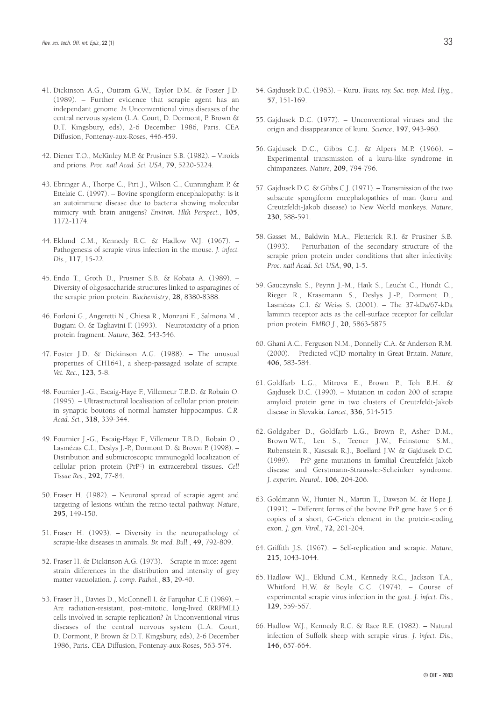- 41. Dickinson A.G., Outram G.W., Taylor D.M. & Foster J.D. (1989). – Further evidence that scrapie agent has an independant genome. *In* Unconventional virus diseases of the central nervous system (L.A. Court, D. Dormont, P. Brown & D.T. Kingsbury, eds), 2-6 December 1986, Paris. CEA Diffusion, Fontenay-aux-Roses, 446-459.
- 42. Diener T.O., McKinley M.P. & Prusiner S.B. (1982). Viroids and prions. *Proc. natl Acad. Sci. USA*, **79**, 5220-5224.
- 43. Ebringer A., Thorpe C., Pirt J., Wilson C., Cunningham P. & Ettelaie C. (1997). – Bovine spongiform encephalopathy: is it an autoimmune disease due to bacteria showing molecular mimicry with brain antigens? *Environ. Hlth Perspect.*, **105**, 1172-1174.
- 44. Eklund C.M., Kennedy R.C. & Hadlow W.J. (1967). Pathogenesis of scrapie virus infection in the mouse. *J. infect. Dis.*, **117**, 15-22.
- 45. Endo T., Groth D., Prusiner S.B. & Kobata A. (1989). Diversity of oligosaccharide structures linked to asparagines of the scrapie prion protein. *Biochemistry*, **28**, 8380-8388.
- 46. Forloni G., Angeretti N., Chiesa R., Monzani E., Salmona M., Bugiani O. & Tagliavini F. (1993). – Neurotoxicity of a prion protein fragment. *Nature*, **362**, 543-546.
- 47. Foster J.D. & Dickinson A.G. (1988). The unusual properties of CH1641, a sheep-passaged isolate of scrapie. *Vet. Rec.*, **123**, 5-8.
- 48. Fournier J.-G., Escaig-Haye F., Villemeur T.B.D. & Robain O. (1995). – Ultrastructural localisation of cellular prion protein in synaptic boutons of normal hamster hippocampus. *C.R. Acad. Sci.*, **318**, 339-344.
- 49. Fournier J.-G., Escaig-Haye F., Villemeur T.B.D., Robain O., Lasmézas C.I., Deslys J.-P., Dormont D. & Brown P. (1998). – Distribution and submicroscopic immunogold localization of cellular prion protein (PrPC ) in extracerebral tissues. *Cell Tissue Res.*, **292**, 77-84.
- 50. Fraser H. (1982). Neuronal spread of scrapie agent and targeting of lesions within the retino-tectal pathway. *Nature*, **295**, 149-150.
- 51. Fraser H. (1993). Diversity in the neuropathology of scrapie-like diseases in animals. *Br. med. Bull.*, **49**, 792-809.
- 52. Fraser H. & Dickinson A.G. (1973). Scrapie in mice: agentstrain differences in the distribution and intensity of grey matter vacuolation. *J. comp. Pathol.*, **83**, 29-40.
- 53. Fraser H., Davies D., McConnell I. & Farquhar C.F. (1989). Are radiation-resistant, post-mitotic, long-lived (RRPMLL) cells involved in scrapie replication? *In* Unconventional virus diseases of the central nervous system (L.A. Court, D. Dormont, P. Brown & D.T. Kingsbury, eds), 2-6 December 1986, Paris. CEA Diffusion, Fontenay-aux-Roses, 563-574.
- 54. Gajdusek D.C. (1963). Kuru. *Trans. roy. Soc. trop. Med. Hyg.*, **57**, 151-169.
- 55. Gajdusek D.C. (1977). Unconventional viruses and the origin and disappearance of kuru. *Science*, **197**, 943-960.
- 56. Gajdusek D.C., Gibbs C.J. & Alpers M.P. (1966). Experimental transmission of a kuru-like syndrome in chimpanzees. *Nature*, **209**, 794-796.
- 57. Gajdusek D.C. & Gibbs C.J. (1971). Transmission of the two subacute spongiform encephalopathies of man (kuru and Creutzfeldt-Jakob disease) to New World monkeys. *Nature*, **230**, 588-591.
- 58. Gasset M., Baldwin M.A., Fletterick R.J. & Prusiner S.B. (1993). – Perturbation of the secondary structure of the scrapie prion protein under conditions that alter infectivity. *Proc. natl Acad. Sci. USA*, **90**, 1-5.
- 59. Gauczynski S., Peyrin J.-M., Haik S., Leucht C., Hundt C., Rieger R., Krasemann S., Deslys J.-P., Dormont D., Lasmézas C.I. & Weiss S. (2001). – The 37-kDa/67-kDa laminin receptor acts as the cell-surface receptor for cellular prion protein. *EMBO J.*, **20**, 5863-5875.
- 60. Ghani A.C., Ferguson N.M., Donnelly C.A. & Anderson R.M. (2000). – Predicted vCJD mortality in Great Britain. *Nature*, **406**, 583-584.
- 61. Goldfarb L.G., Mitrova E., Brown P., Toh B.H. & Gajdusek D.C. (1990). – Mutation in codon 200 of scrapie amyloid protein gene in two clusters of Creutzfeldt-Jakob disease in Slovakia. *Lancet*, **336**, 514-515.
- 62. Goldgaber D., Goldfarb L.G., Brown P., Asher D.M., Brown W.T., Len S., Teener J.W., Feinstone S.M., Rubenstein R., Kascsak R.J., Boellard J.W. & Gajdusek D.C. (1989). – PrP gene mutations in familial Creutzfeldt-Jakob disease and Gerstmann-Straüssler-Scheinker syndrome. *J. experim. Neurol.*, **106**, 204-206.
- 63. Goldmann W., Hunter N., Martin T., Dawson M. & Hope J. (1991). – Different forms of the bovine PrP gene have 5 or 6 copies of a short, G-C-rich element in the protein-coding exon. *J. gen. Virol.*, **72**, 201-204.
- 64. Griffith J.S. (1967). Self-replication and scrapie. *Nature*, **215**, 1043-1044.
- 65. Hadlow W.J., Eklund C.M., Kennedy R.C., Jackson T.A., Whitford H.W. & Boyle C.C. (1974). – Course of experimental scrapie virus infection in the goat. *J. infect. Dis.*, **129**, 559-567.
- 66. Hadlow W.J., Kennedy R.C. & Race R.E. (1982). Natural infection of Suffolk sheep with scrapie virus. *J. infect. Dis.*, **146**, 657-664.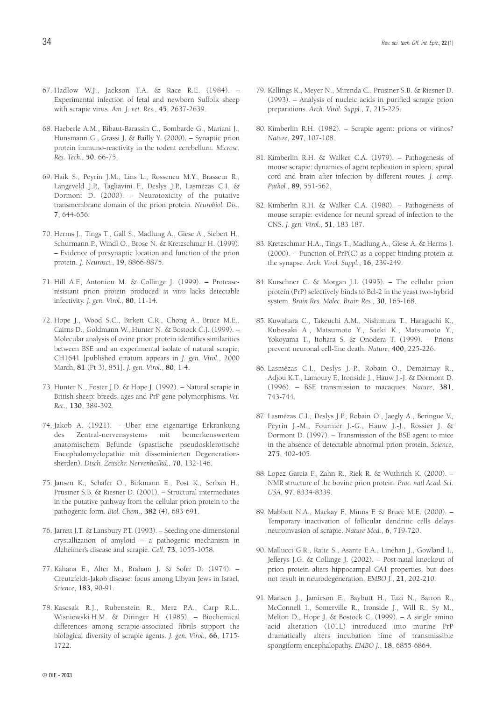- 67. Hadlow W.J., Jackson T.A. & Race R.E. (1984). Experimental infection of fetal and newborn Suffolk sheep with scrapie virus. *Am. J. vet. Res.*, **45**, 2637-2639.
- 68. Haeberle A.M., Ribaut-Barassin C., Bombarde G., Mariani J., Hunsmann G., Grassi J. & Bailly Y. (2000). – Synaptic prion protein immuno-reactivity in the rodent cerebellum. *Microsc. Res. Tech.*, **50**, 66-75.
- 69. Haik S., Peyrin J.M., Lins L., Rosseneu M.Y., Brasseur R., Langeveld J.P., Tagliavini F., Deslys J.P., Lasmézas C.I. & Dormont D. (2000). – Neurotoxicity of the putative transmembrane domain of the prion protein. *Neurobiol. Dis.*, **7**, 644-656.
- 70. Herms J., Tings T., Gall S., Madlung A., Giese A., Siebert H., Schurmann P., Windl O., Brose N. & Kretzschmar H. (1999). – Evidence of presynaptic location and function of the prion protein. *J. Neurosci.*, **19**, 8866-8875.
- 71. Hill A.F., Antoniou M. & Collinge J. (1999). Proteaseresistant prion protein produced *in vitro* lacks detectable infectivity. *J. gen. Virol.*, **80**, 11-14.
- 72. Hope J., Wood S.C., Birkett C.R., Chong A., Bruce M.E., Cairns D., Goldmann W., Hunter N. & Bostock C.J. (1999). – Molecular analysis of ovine prion protein identifies similarities between BSE and an experimental isolate of natural scrapie, CH1641 [published erratum appears in *J. gen. Virol.*, 2000 March, **81** (Pt 3), 851]. *J. gen. Virol.*, **80**, 1-4.
- 73. Hunter N., Foster J.D. & Hope J. (1992). Natural scrapie in British sheep: breeds, ages and PrP gene polymorphisms. *Vet. Rec.*, **130**, 389-392.
- 74. Jakob A. (1921). Uber eine eigenartige Erkrankung des Zentral-nervensystems mit bemerkenswertem anatomischem Befunde (spastische pseudosklerotische Encephalomyelopathie mit disseminierten Degenerationsherden). *Dtsch. Zeitschr. Nervenheilkd.*, **70**, 132-146.
- 75. Jansen K., Schäfer O., Birkmann E., Post K., Serban H., Prusiner S.B. & Riesner D. (2001). – Structural intermediates in the putative pathway from the cellular prion protein to the pathogenic form. *Biol. Chem.*, **382** (4), 683-691.
- 76. Jarrett J.T. & Lansbury P.T. (1993). Seeding one-dimensional crystallization of amyloid – a pathogenic mechanism in Alzheimer's disease and scrapie. *Cell*, **73**, 1055-1058.
- 77. Kahana E., Alter M., Braham J. & Sofer D. (1974). Creutzfeldt-Jakob disease: focus among Libyan Jews in Israel. *Science*, **183**, 90-91.
- 78. Kascsak R.J., Rubenstein R., Merz P.A., Carp R.L., Wisniewski H.M. & Diringer H. (1985). – Biochemical differences among scrapie-associated fibrils support the biological diversity of scrapie agents. *J. gen. Virol.*, **66**, 1715- 1722.
- 79. Kellings K., Meyer N., Mirenda C., Prusiner S.B. & Riesner D. (1993). – Analysis of nucleic acids in purified scrapie prion preparations. *Arch. Virol. Suppl.*, **7**, 215-225.
- 80. Kimberlin R.H. (1982). Scrapie agent: prions or virinos? *Nature*, **297**, 107-108.
- 81. Kimberlin R.H. & Walker C.A. (1979). Pathogenesis of mouse scrapie: dynamics of agent replication in spleen, spinal cord and brain after infection by different routes. *J. comp. Pathol.*, **89**, 551-562.
- 82. Kimberlin R.H. & Walker C.A. (1980). Pathogenesis of mouse scrapie: evidence for neural spread of infection to the CNS. *J. gen. Virol.*, **51**, 183-187.
- 83. Kretzschmar H.A., Tings T., Madlung A., Giese A. & Herms J. (2000). – Function of PrP(C) as a copper-binding protein at the synapse. *Arch. Virol. Suppl.*, **16**, 239-249.
- 84. Kurschner C. & Morgan J.I. (1995). The cellular prion protein (PrP) selectively binds to Bcl-2 in the yeast two-hybrid system. *Brain Res. Molec. Brain Res.*, **30**, 165-168.
- 85. Kuwahara C., Takeuchi A.M., Nishimura T., Haraguchi K., Kubosaki A., Matsumoto Y., Saeki K., Matsumoto Y., Yokoyama T., Itohara S. & Onodera T. (1999). – Prions prevent neuronal cell-line death. *Nature*, **400**, 225-226.
- 86. Lasmézas C.I., Deslys J.-P., Robain O., Demaimay R., Adjou K.T., Lamoury F., Ironside J., Hauw J.-J. & Dormont D. (1996). – BSE transmission to macaques. *Nature*, **381**, 743-744.
- 87. Lasmézas C.I., Deslys J.P., Robain O., Jaegly A., Beringue V., Peyrin J.-M., Fournier J.-G., Hauw J.-J., Rossier J. & Dormont D. (1997). – Transmission of the BSE agent to mice in the absence of detectable abnormal prion protein. *Science*, **275**, 402-405.
- 88. Lopez Garcia F., Zahn R., Riek R. & Wuthrich K. (2000). NMR structure of the bovine prion protein. *Proc. natl Acad. Sci. USA*, **97**, 8334-8339.
- 89. Mabbott N.A., Mackay F., Minns F. & Bruce M.E. (2000). Temporary inactivation of follicular dendritic cells delays neuroinvasion of scrapie. *Nature Med.*, **6**, 719-720.
- 90. Mallucci G.R., Ratte S., Asante E.A., Linehan J., Gowland I., Jefferys J.G. & Collinge J. (2002). – Post-natal knockout of prion protein alters hippocampal CA1 properties, but does not result in neurodegeneration. *EMBO J.*, **21**, 202-210.
- 91. Manson J., Jamieson E., Baybutt H., Tuzi N., Barron R., McConnell I., Somerville R., Ironside J., Will R., Sy M., Melton D., Hope J. & Bostock C. (1999). – A single amino acid alteration (101L) introduced into murine PrP dramatically alters incubation time of transmissible spongiform encephalopathy. *EMBO J.*, **18**, 6855-6864.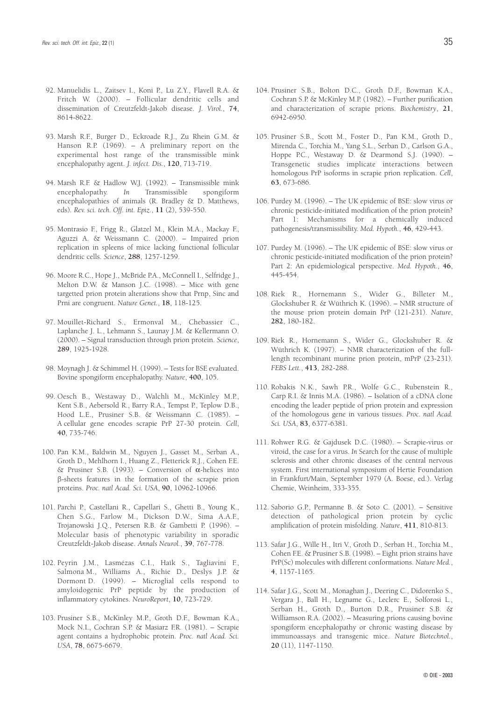- 92. Manuelidis L., Zaitsev I., Koni P., Lu Z.Y., Flavell R.A. & Fritch W. (2000). – Follicular dendritic cells and dissemination of Creutzfeldt-Jakob disease. *J. Virol.*, **74**, 8614-8622.
- 93. Marsh R.F., Burger D., Eckroade R.J., Zu Rhein G.M. & Hanson R.P. (1969). – A preliminary report on the experimental host range of the transmissible mink encephalopathy agent. *J. infect. Dis.*, **120**, 713-719.
- 94. Marsh R.F. & Hadlow W.J. (1992). Transmissible mink encephalopathy. *In* Transmissible spongiform encephalopathies of animals (R. Bradley & D. Matthews, eds). *Rev. sci. tech. Off. int. Epiz.*, **11** (2), 539-550.
- 95. Montrasio F., Frigg R., Glatzel M., Klein M.A., Mackay F., Aguzzi A. & Weissmann C. (2000). – Impaired prion replication in spleens of mice lacking functional follicular dendritic cells. *Science*, **288**, 1257-1259.
- 96. Moore R.C., Hope J., McBride P.A., McConnell I., Selfridge J., Melton D.W. & Manson J.C. (1998). – Mice with gene targetted prion protein alterations show that Prnp, Sinc and Prni are congruent. *Nature Genet.*, **18**, 118-125.
- 97. Mouillet-Richard S., Ermonval M., Chebassier C., Laplanche J. L., Lehmann S., Launay J.M. & Kellermann O. (2000). – Signal transduction through prion protein. *Science*, **289**, 1925-1928.
- 98. Moynagh J. & Schimmel H. (1999). Tests for BSE evaluated. Bovine spongiform encephalopathy. *Nature*, **400**, 105.
- 99. Oesch B., Westaway D., Walchli M., McKinley M.P., Kent S.B., Aebersold R., Barry R.A., Tempst P., Teplow D.B., Hood L.E., Prusiner S.B. & Weissmann C. (1985). – A cellular gene encodes scrapie PrP 27-30 protein. *Cell*, **40**, 735-746.
- 100. Pan K.M., Baldwin M., Nguyen J., Gasset M., Serban A., Groth D., Mehlhorn I., Huang Z., Fletterick R.J., Cohen F.E. & Prusiner S.B. (1993). – Conversion of α-helices into ß-sheets features in the formation of the scrapie prion proteins. *Proc. natl Acad. Sci. USA*, **90**, 10962-10966.
- 101. Parchi P., Castellani R., Capellari S., Ghetti B., Young K., Chen S.G., Farlow M., Dickson D.W., Sima A.A.F., Trojanowski J.Q., Petersen R.B. & Gambetti P. (1996). – Molecular basis of phenotypic variability in sporadic Creutzfeldt-Jakob disease. *Annals Neurol.*, **39**, 767-778.
- 102. Peyrin J.M., Lasmézas C.I., Haïk S., Tagliavini F., Salmona M., Williams A., Richie D., Deslys J.P. & Dormont D. (1999). – Microglial cells respond to amyloidogenic PrP peptide by the production of inflammatory cytokines. *NeuroReport*, **10**, 723-729.
- 103. Prusiner S.B., McKinley M.P., Groth D.F., Bowman K.A., Mock N.I., Cochran S.P. & Masiarz F.R. (1981). – Scrapie agent contains a hydrophobic protein. *Proc. natl Acad. Sci. USA*, **78**, 6675-6679.
- 104. Prusiner S.B., Bolton D.C., Groth D.F., Bowman K.A., Cochran S.P. & McKinley M.P. (1982). – Further purification and characterization of scrapie prions. *Biochemistry*, **21**, 6942-6950.
- 105. Prusiner S.B., Scott M., Foster D., Pan K.M., Groth D., Mirenda C., Torchia M., Yang S.L., Serban D., Carlson G.A., Hoppe P.C., Westaway D. & Dearmond S.J. (1990). – Transgenetic studies implicate interactions between homologous PrP isoforms in scrapie prion replication. *Cell*, **63**, 673-686.
- 106. Purdey M. (1996). The UK epidemic of BSE: slow virus or chronic pesticide-initiated modification of the prion protein? Part 1: Mechanisms for a chemically induced pathogenesis/transmissibility. *Med. Hypoth.*, **46**, 429-443.
- 107. Purdey M. (1996). The UK epidemic of BSE: slow virus or chronic pesticide-initiated modification of the prion protein? Part 2: An epidemiological perspective. *Med. Hypoth.*, **46**, 445-454.
- 108. Riek R., Hornemann S., Wider G., Billeter M., Glockshuber R. & Wüthrich K. (1996). – NMR structure of the mouse prion protein domain PrP (121-231). *Nature*, **282**, 180-182.
- 109. Riek R., Hornemann S., Wider G., Glockshuber R. & Wüthrich K. (1997). – NMR characterization of the fulllength recombinant murine prion protein, mPrP (23-231). *FEBS Lett.*, **413**, 282-288.
- 110. Robakis N.K., Sawh P.R., Wolfe G.C., Rubenstein R., Carp R.I. & Innis M.A. (1986). – Isolation of a cDNA clone encoding the leader peptide of prion protein and expression of the homologous gene in various tissues. *Proc. natl Acad. Sci. USA*, **83**, 6377-6381.
- 111. Rohwer R.G. & Gajdusek D.C. (1980). Scrapie-virus or viroid, the case for a virus. *In* Search for the cause of multiple sclerosis and other chronic diseases of the central nervous system. First international symposium of Hertie Foundation in Frankfurt/Main, September 1979 (A. Boese, ed.). Verlag Chemie, Weinheim, 333-355.
- 112. Saborio G.P., Permanne B. & Soto C. (2001). Sensitive detection of pathological prion protein by cyclic amplification of protein misfolding. *Nature*, **411**, 810-813.
- 113. Safar J.G., Wille H., Itri V., Groth D., Serban H., Torchia M., Cohen F.E. & Prusiner S.B. (1998). – Eight prion strains have PrP(Sc) molecules with different conformations. *Nature Med.*, **4**, 1157-1165.
- 114. Safar J.G., Scott M., Monaghan J., Deering C., Didorenko S., Vergara J., Ball H., Legname G., Leclerc E., Solforosi L., Serban H., Groth D., Burton D.R., Prusiner S.B. & Williamson R.A. (2002). – Measuring prions causing bovine spongiform encephalopathy or chronic wasting disease by immunoassays and transgenic mice. *Nature Biotechnol.*, **20** (11), 1147-1150.